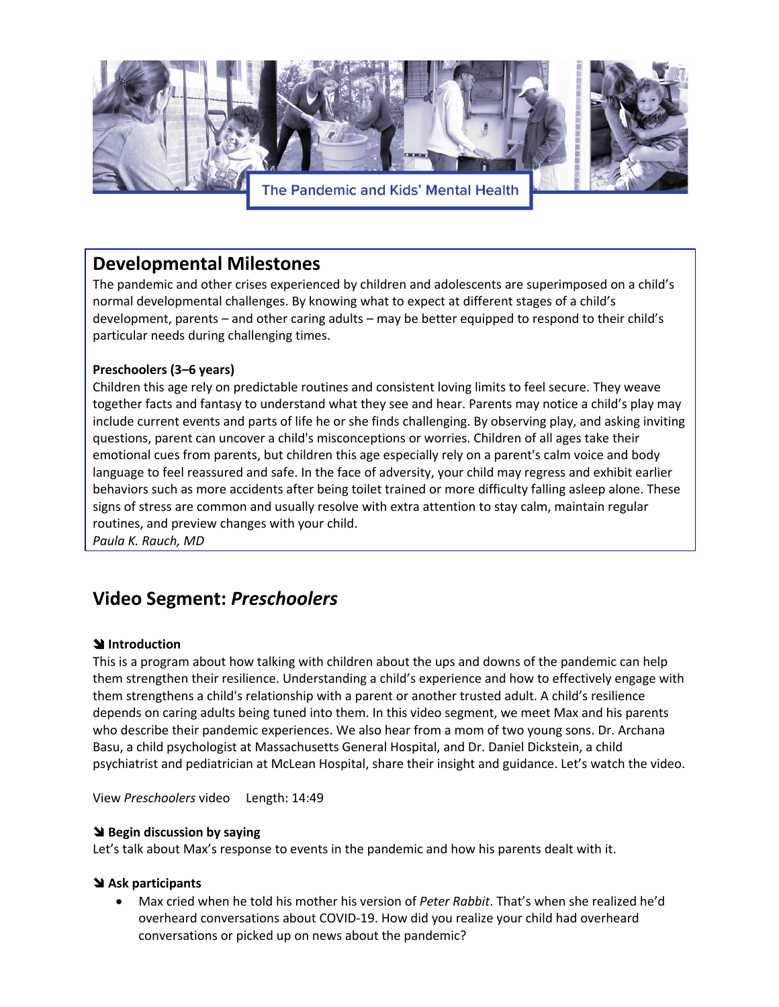

## **Developmental Milestones**

The pandemic and other crises experienced by children and adolescents are superimposed on a child's normal developmental challenges. By knowing what to expect at different stages of a child's development, parents – and other caring adults – may be better equipped to respond to their child's particular needs during challenging times.

### **Preschoolers (3–6 years)**

Children this age rely on predictable routines and consistent loving limits to feel secure. They weave together facts and fantasy to understand what they see and hear. Parents may notice a child's play may include current events and parts of life he or she finds challenging. By observing play, and asking inviting questions, parent can uncover a child's misconceptions or worries. Children of all ages take their emotional cues from parents, but children this age especially rely on a parent's calm voice and body language to feel reassured and safe. In the face of adversity, your child may regress and exhibit earlier behaviors such as more accidents after being toilet trained or more difficulty falling asleep alone. These signs of stress are common and usually resolve with extra attention to stay calm, maintain regular routines, and preview changes with your child.

*Paula K. Rauch, MD* 

# **Video Segment:** *Preschoolers*

#### **\** Introduction

This is a program about how talking with children about the ups and downs of the pandemic can help them strengthen their resilience. Understanding a child's experience and how to effectively engage with them strengthens a child's relationship with a parent or another trusted adult. A child's resilience depends on caring adults being tuned into them. In this video segment, we meet Max and his parents who describe their pandemic experiences. We also hear from a mom of two young sons. Dr. Archana Basu, a child psychologist at Massachusetts General Hospital, and Dr. Daniel Dickstein, a child psychiatrist and pediatrician at McLean Hospital, share their insight and guidance. Let's watch the video.

View *Preschoolers* video Length: 14:49

#### **\** Begin discussion by saying

Let's talk about Max's response to events in the pandemic and how his parents dealt with it.

#### ! **Ask participants**

• Max cried when he told his mother his version of *Peter Rabbit*. That's when she realized he'd overheard conversations about COVID-19. How did you realize your child had overheard conversations or picked up on news about the pandemic?